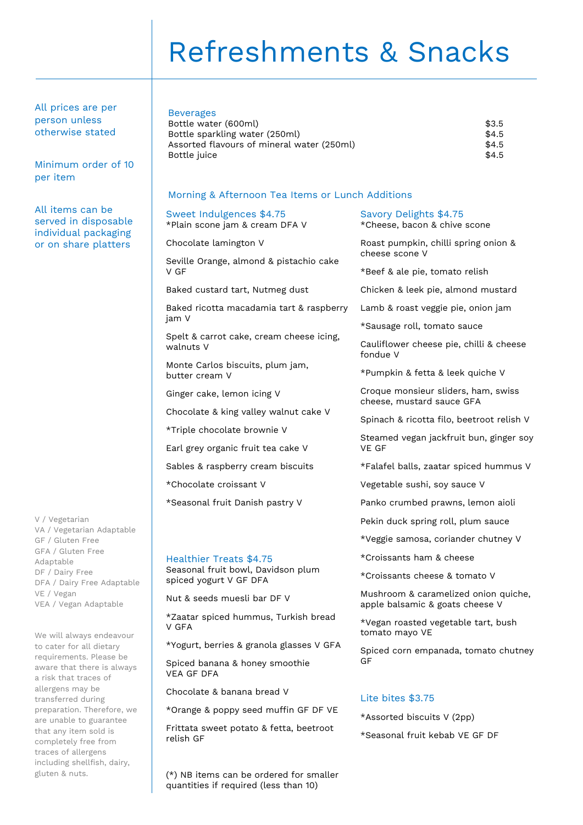# Refreshments & Snacks

All prices are per person unless otherwise stated

Minimum order of 10 per item

All items can be served in disposable individual packaging or on share platters

V / Vegetarian VA / Vegetarian Adaptable GF / Gluten Free GFA / Gluten Free Adaptable DF / Dairy Free DFA / Dairy Free Adaptable VE / Vegan VEA / Vegan Adaptable

We will always endeavour to cater for all dietary requirements. Please be aware that there is always a risk that traces of allergens may be transferred during preparation. Therefore, we are unable to guarantee that any item sold is completely free from traces of allergens including shellfish, dairy, gluten & nuts.

### Beverages

Sweet Indulgences \$4.75 \*Plain scone jam & cream DFA V

Seville Orange, almond & pistachio cake

Baked ricotta macadamia tart & raspberry

Spelt & carrot cake, cream cheese icing,

Baked custard tart, Nutmeg dust

Monte Carlos biscuits, plum jam,

Chocolate & king valley walnut cake V

Ginger cake, lemon icing V

\*Triple chocolate brownie V

\*Chocolate croissant V

Healthier Treats \$4.75

spiced yogurt V GF DFA

V GFA

VEA GF DFA

relish GF

Nut & seeds muesli bar DF V

Earl grey organic fruit tea cake V Sables & raspberry cream biscuits

\*Seasonal fruit Danish pastry V

Seasonal fruit bowl, Davidson plum

\*Zaatar spiced hummus, Turkish bread

\*Yogurt, berries & granola glasses V GFA

\*Orange & poppy seed muffin GF DF VE Frittata sweet potato & fetta, beetroot

Spiced banana & honey smoothie

Chocolate & banana bread V

Chocolate lamington V

V GF

jam V

walnuts V

butter cream V

Bottle water (600ml) \$3.5 Bottle sparkling water (250ml)  $$4.5$ Assorted flavours of mineral water (250ml)  $$4.5$ <br>Bottle iuice  $$4.5$ Bottle juice

Morning & Afternoon Tea Items or Lunch Additions

### Savory Delights \$4.75

\*Cheese, bacon & chive scone

Roast pumpkin, chilli spring onion & cheese scone V

\*Beef & ale pie, tomato relish

Chicken & leek pie, almond mustard

Lamb & roast veggie pie, onion jam

\*Sausage roll, tomato sauce

Cauliflower cheese pie, chilli & cheese fondue V

\*Pumpkin & fetta & leek quiche V

Croque monsieur sliders, ham, swiss cheese, mustard sauce GFA

Spinach & ricotta filo, beetroot relish V

Steamed vegan jackfruit bun, ginger soy VE GF

\*Falafel balls, zaatar spiced hummus V

Vegetable sushi, soy sauce V

Panko crumbed prawns, lemon aioli

Pekin duck spring roll, plum sauce

\*Veggie samosa, coriander chutney V

\*Croissants ham & cheese

\*Croissants cheese & tomato V

Mushroom & caramelized onion quiche, apple balsamic & goats cheese V

\*Vegan roasted vegetable tart, bush tomato mayo VE

Spiced corn empanada, tomato chutney GF

### Lite bites \$3.75

\*Assorted biscuits V (2pp) \*Seasonal fruit kebab VE GF DF

(\*) NB items can be ordered for smaller quantities if required (less than 10)